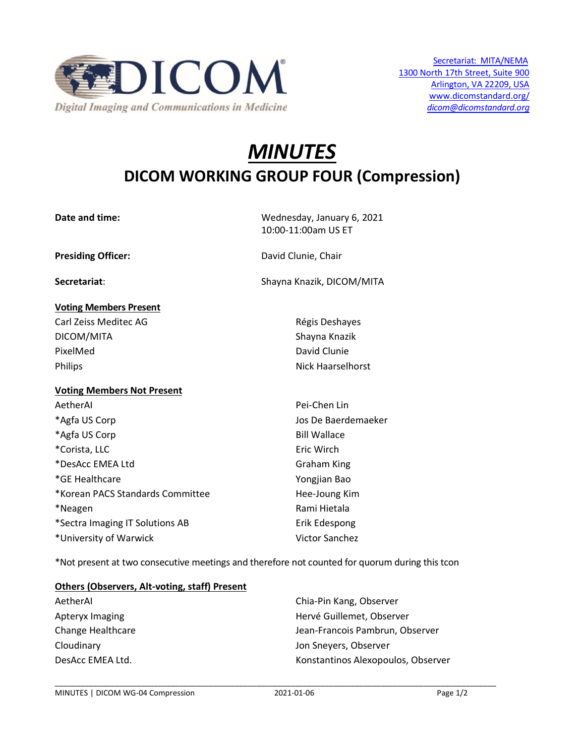

# *MINUTES* **DICOM WORKING GROUP FOUR (Compression)**

**Date and time:** Wednesday, January 6, 2021

# **Voting Members Present**

Carl Zeiss Meditec AG **Régis Deshayes** Carl Zeiss Deshayes DICOM/MITA Shayna Knazik PixelMed David Clunie Philips **Nick Haarselhorst** 

# **Voting Members Not Present**

AetherAI Pei-Chen Lin \*Agfa US Corp **Galacter Corp Contract Contract Corp** Jos De Baerdemaeker \*Agfa US Corp and the contract of the Bill Wallace \*Corista, LLC **Example 2018** Eric Wirch \*DesAcc EMEA Ltd Graham King \*GE Healthcare Yongjian Bao \*Korean PACS Standards Committee Hee-Joung Kim \*Neagen **Rami Hietala** \*Sectra Imaging IT Solutions AB Erik Edespong

10:00-11:00am US ET

**Presiding Officer:** David Clunie, Chair

**Secretariat**: Shayna Knazik, DICOM/MITA

\*University of Warwick Victor Sanchez

\*Not present at two consecutive meetings and therefore not counted for quorum during this tcon

# **Others (Observers, Alt-voting, staff) Present**

AetherAI Chia-Pin Kang, Observer Apteryx Imaging **Herve** Guillemet, Observer Change Healthcare **Jean-Francois Pambrun, Observer** Cloudinary Jon Sneyers, Observer DesAcc EMEA Ltd. Konstantinos Alexopoulos, Observer

\_\_\_\_\_\_\_\_\_\_\_\_\_\_\_\_\_\_\_\_\_\_\_\_\_\_\_\_\_\_\_\_\_\_\_\_\_\_\_\_\_\_\_\_\_\_\_\_\_\_\_\_\_\_\_\_\_\_\_\_\_\_\_\_\_\_\_\_\_\_\_\_\_\_\_\_\_\_\_\_\_\_\_\_\_\_\_\_\_\_\_\_\_\_\_\_\_\_\_\_\_\_\_